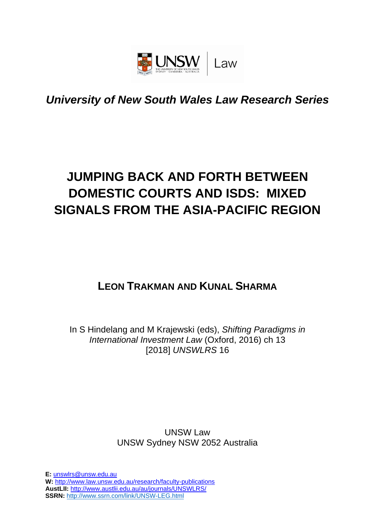

## *University of New South Wales Law Research Series*

# **JUMPING BACK AND FORTH BETWEEN DOMESTIC COURTS AND ISDS: MIXED SIGNALS FROM THE ASIA-PACIFIC REGION**

## **LEON TRAKMAN AND KUNAL SHARMA**

In S Hindelang and M Krajewski (eds), *Shifting Paradigms in International Investment Law* (Oxford, 2016) ch 13 [2018] *UNSWLRS* 16

> UNSW Law UNSW Sydney NSW 2052 Australia

**E:** [unswlrs@unsw.edu.au](mailto:unswlrs@unsw.edu.au) **W:** <http://www.law.unsw.edu.au/research/faculty-publications> **AustLII:** <http://www.austlii.edu.au/au/journals/UNSWLRS/> **SSRN:** <http://www.ssrn.com/link/UNSW-LEG.html>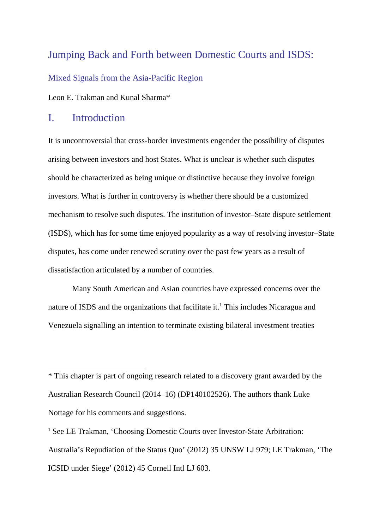### Jumping Back and Forth between Domestic Courts and ISDS:

Mixed Signals from the Asia-Pacific Region

Leon E. Trakman and Kunal Sharma\*

#### I. Introduction

It is uncontroversial that cross-border investments engender the possibility of disputes arising between investors and host States. What is unclear is whether such disputes should be characterized as being unique or distinctive because they involve foreign investors. What is further in controversy is whether there should be a customized mechanism to resolve such disputes. The institution of investor–State dispute settlement (ISDS), which has for some time enjoyed popularity as a way of resolving investor–State disputes, has come under renewed scrutiny over the past few years as a result of dissatisfaction articulated by a number of countries.

Many South American and Asian countries have expressed concerns over the nature of ISDS and the organizations that facilitate it.<sup>1</sup> This includes Nicaragua and Venezuela signalling an intention to terminate existing bilateral investment treaties

<sup>\*</sup> This chapter is part of ongoing research related to a discovery grant awarded by the Australian Research Council (2014–16) (DP140102526). The authors thank Luke Nottage for his comments and suggestions.

<sup>&</sup>lt;sup>1</sup> See LE Trakman, 'Choosing Domestic Courts over Investor-State Arbitration: Australia's Repudiation of the Status Quo' (2012) 35 UNSW LJ 979; LE Trakman, 'The ICSID under Siege' (2012) 45 Cornell Intl LJ 603.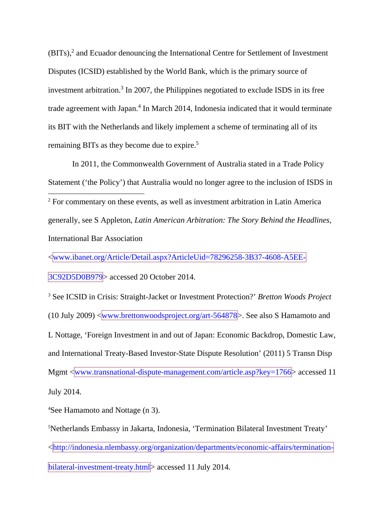(BITs),2 and Ecuador denouncing the International Centre for Settlement of Investment Disputes (ICSID) established by the World Bank, which is the primary source of investment arbitration.<sup>3</sup> In 2007, the Philippines negotiated to exclude ISDS in its free trade agreement with Japan.<sup>4</sup> In March 2014, Indonesia indicated that it would terminate its BIT with the Netherlands and likely implement a scheme of terminating all of its remaining BITs as they become due to expire.<sup>5</sup>

In 2011, the Commonwealth Government of Australia stated in a Trade Policy Statement ('the Policy') that Australia would no longer agree to the inclusion of ISDS in 2 For commentary on these events, as well as investment arbitration in Latin America generally, see S Appleton, *Latin American Arbitration: The Story Behind the Headlines,*  International Bar Association

<www.ibanet.org/Article/Detail.aspx?ArticleUid=78296258-3B37-4608-A5EE-

3C92D5D0B979> accessed 20 October 2014.

<sup>3</sup> See ICSID in Crisis: Straight-Jacket or Investment Protection?' *Bretton Woods Project* (10 July 2009)  $\sqrt{\text{www.brettonwoodsproject.org/art-564878}}$ . See also S Hamamoto and L Nottage, 'Foreign Investment in and out of Japan: Economic Backdrop, Domestic Law, and International Treaty-Based Investor-State Dispute Resolution' (2011) 5 Transn Disp Mgmt <www.transnational-dispute-management.com/article.asp?key=1766> accessed 11 July 2014.

4 See Hamamoto and Nottage (n 3).

5 Netherlands Embassy in Jakarta, Indonesia, 'Termination Bilateral Investment Treaty'

<http://indonesia.nlembassy.org/organization/departments/economic-affairs/termination-

bilateral-investment-treaty.html accessed 11 July 2014.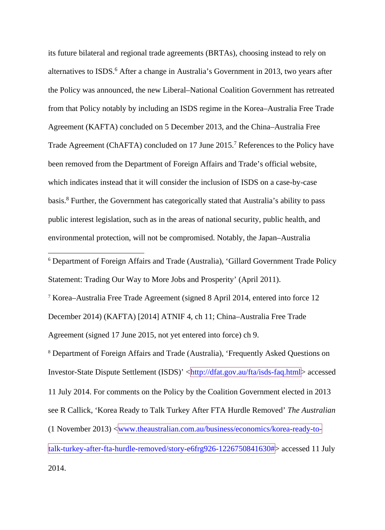<span id="page-3-0"></span>its future bilateral and regional trade agreements (BRTAs), choosing instead to rely on alternatives to ISDS.<sup>6</sup> After a change in Australia's Government in 2013, two years after the Policy was announced, the new Liberal–National Coalition Government has retreated from that Policy notably by including an ISDS regime in the Korea–Australia Free Trade Agreement (KAFTA) concluded on 5 December 2013, and the China–Australia Free Trade Agreement (ChAFTA) concluded on 17 June 2015. <sup>7</sup> References to the Policy have been removed from the Department of Foreign Affairs and Trade's official website, which indicates instead that it will consider the inclusion of ISDS on a case-by-case basis.8 Further, the Government has categorically stated that Australia's ability to pass public interest legislation, such as in the areas of national security, public health, and environmental protection, will not be compromised. Notably, the Japan–Australia

 6 Department of Foreign Affairs and Trade (Australia), 'Gillard Government Trade Policy Statement: Trading Our Way to More Jobs and Prosperity' (April 2011).

<sup>7</sup> Korea–Australia Free Trade Agreement (signed 8 April 2014, entered into force 12 December 2014) (KAFTA) [2014] ATNIF 4, ch 11; China–Australia Free Trade Agreement (signed 17 June 2015, not yet entered into force) ch 9.

<sup>8</sup> Department of Foreign Affairs and Trade (Australia), 'Frequently Asked Questions on Investor-State Dispute Settlement (ISDS)' <http://dfat.gov.au/fta/isds-faq.html> accessed 11 July 2014. For comments on the Policy by the Coalition Government elected in 2013 see R Callick, 'Korea Ready to Talk Turkey After FTA Hurdle Removed' *The Australian* (1 November 2013) <www.theaustralian.com.au/business/economics/korea-ready-totalk-turkey-after-fta-hurdle-removed/story-e6frg926-1226750841630#> accessed 11 July 2014.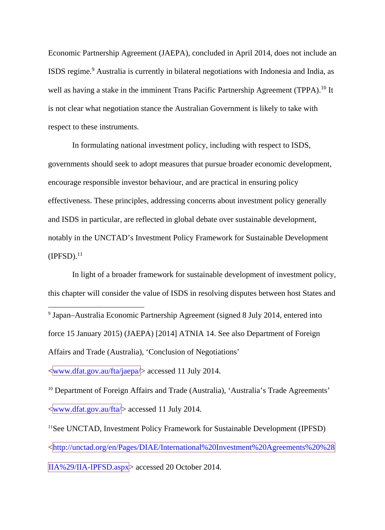Economic Partnership Agreement (JAEPA), concluded in April 2014, does not include an ISDS regime. <sup>9</sup> Australia is currently in bilateral negotiations with Indonesia and India, as well as having a stake in the imminent Trans Pacific Partnership Agreement (TPPA).<sup>10</sup> It is not clear what negotiation stance the Australian Government is likely to take with respect to these instruments.

In formulating national investment policy, including with respect to ISDS, governments should seek to adopt measures that pursue broader economic development, encourage responsible investor behaviour, and are practical in ensuring policy effectiveness. These principles, addressing concerns about investment policy generally and ISDS in particular, are reflected in global debate over sustainable development, notably in the UNCTAD's Investment Policy Framework for Sustainable Development  $(IPFSD).<sup>11</sup>$ 

In light of a broader framework for sustainable development of investment policy, this chapter will consider the value of ISDS in resolving disputes between host States and

 9 Japan–Australia Economic Partnership Agreement (signed 8 July 2014, entered into force 15 January 2015) (JAEPA) [2014] ATNIA 14. See also Department of Foreign Affairs and Trade (Australia), 'Conclusion of Negotiations'

<www.dfat.gov.au/fta/jaepa/> accessed 11 July 2014.

<sup>10</sup> Department of Foreign Affairs and Trade (Australia), 'Australia's Trade Agreements' <www.dfat.gov.au/fta/> accessed 11 July 2014.

11See UNCTAD, Investment Policy Framework for Sustainable Development (IPFSD) <http://unctad.org/en/Pages/DIAE/International%20Investment%20Agreements%20%28 IIA%29/IIA-IPFSD.aspx> accessed 20 October 2014.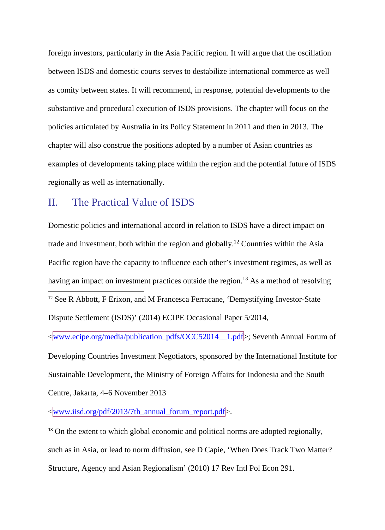foreign investors, particularly in the Asia Pacific region. It will argue that the oscillation between ISDS and domestic courts serves to destabilize international commerce as well as comity between states. It will recommend, in response, potential developments to the substantive and procedural execution of ISDS provisions. The chapter will focus on the policies articulated by Australia in its Policy Statement in 2011 and then in 2013. The chapter will also construe the positions adopted by a number of Asian countries as examples of developments taking place within the region and the potential future of ISDS regionally as well as internationally.

#### II. The Practical Value of ISDS

Domestic policies and international accord in relation to ISDS have a direct impact on trade and investment, both within the region and globally.12 Countries within the Asia Pacific region have the capacity to influence each other's investment regimes, as well as having an impact on investment practices outside the region.<sup>13</sup> As a method of resolving <sup>12</sup> See R Abbott, F Erixon, and M Francesca Ferracane, 'Demystifying Investor-State Dispute Settlement (ISDS)' (2014) ECIPE Occasional Paper 5/2014,

<www.ecipe.org/media/publication\_pdfs/OCC52014\_\_1.pdf>; Seventh Annual Forum of Developing Countries Investment Negotiators, sponsored by the International Institute for Sustainable Development, the Ministry of Foreign Affairs for Indonesia and the South Centre, Jakarta, 4–6 November 2013

<www.iisd.org/pdf/2013/7th\_annual\_forum\_report.pdf>.

<sup>13</sup> On the extent to which global economic and political norms are adopted regionally, such as in Asia, or lead to norm diffusion, see D Capie, 'When Does Track Two Matter? Structure, Agency and Asian Regionalism' (2010) 17 Rev Intl Pol Econ 291.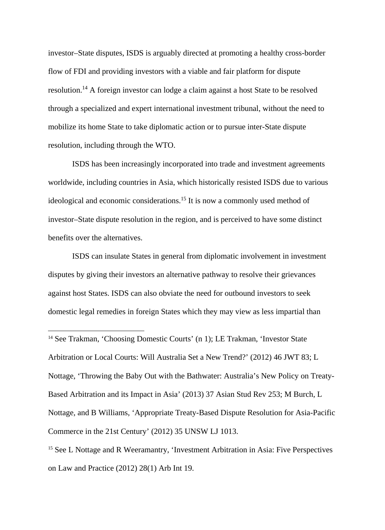investor–State disputes, ISDS is arguably directed at promoting a healthy cross-border flow of FDI and providing investors with a viable and fair platform for dispute resolution.14 A foreign investor can lodge a claim against a host State to be resolved through a specialized and expert international investment tribunal, without the need to mobilize its home State to take diplomatic action or to pursue inter-State dispute resolution, including through the WTO.

ISDS has been increasingly incorporated into trade and investment agreements worldwide, including countries in Asia, which historically resisted ISDS due to various ideological and economic considerations.15 It is now a commonly used method of investor–State dispute resolution in the region, and is perceived to have some distinct benefits over the alternatives.

ISDS can insulate States in general from diplomatic involvement in investment disputes by giving their investors an alternative pathway to resolve their grievances against host States. ISDS can also obviate the need for outbound investors to seek domestic legal remedies in foreign States which they may view as less impartial than

<sup>14</sup> See Trakman, 'Choosing Domestic Courts' (n 1); LE Trakman, 'Investor State Arbitration or Local Courts: Will Australia Set a New Trend?' (2012) 46 JWT 83; L Nottage, 'Throwing the Baby Out with the Bathwater: Australia's New Policy on Treaty-Based Arbitration and its Impact in Asia' (2013) 37 Asian Stud Rev 253; M Burch, L Nottage, and B Williams, 'Appropriate Treaty-Based Dispute Resolution for Asia-Pacific Commerce in the 21st Century' (2012) 35 UNSW LJ 1013.

<sup>15</sup> See L Nottage and R Weeramantry, 'Investment Arbitration in Asia: Five Perspectives on Law and Practice (2012) 28(1) Arb Int 19.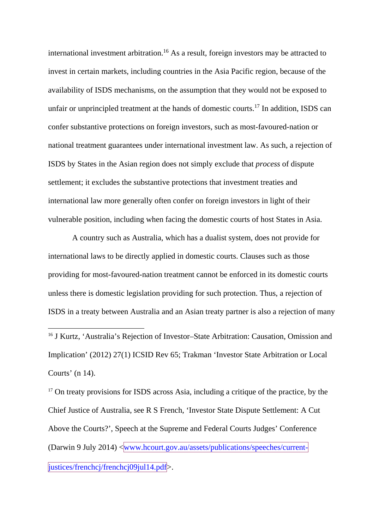international investment arbitration.16 As a result, foreign investors may be attracted to invest in certain markets, including countries in the Asia Pacific region, because of the availability of ISDS mechanisms, on the assumption that they would not be exposed to unfair or unprincipled treatment at the hands of domestic courts.<sup>17</sup> In addition, ISDS can confer substantive protections on foreign investors, such as most-favoured-nation or national treatment guarantees under international investment law. As such, a rejection of ISDS by States in the Asian region does not simply exclude that *process* of dispute settlement; it excludes the substantive protections that investment treaties and international law more generally often confer on foreign investors in light of their vulnerable position, including when facing the domestic courts of host States in Asia.

A country such as Australia, which has a dualist system, does not provide for international laws to be directly applied in domestic courts. Clauses such as those providing for most-favoured-nation treatment cannot be enforced in its domestic courts unless there is domestic legislation providing for such protection. Thus, a rejection of ISDS in a treaty between Australia and an Asian treaty partner is also a rejection of many

<sup>16</sup> J Kurtz, 'Australia's Rejection of Investor–State Arbitration: Causation, Omission and Implication' (2012) 27(1) ICSID Rev 65; Trakman 'Investor State Arbitration or Local Courts' (n 14).

<sup>17</sup> On treaty provisions for ISDS across Asia, including a critique of the practice, by the Chief Justice of Australia, see R S French, 'Investor State Dispute Settlement: A Cut Above the Courts?', Speech at the Supreme and Federal Courts Judges' Conference (Darwin 9 July 2014) <www.hcourt.gov.au/assets/publications/speeches/currentjustices/frenchcj/frenchcj09jul14.pdf>.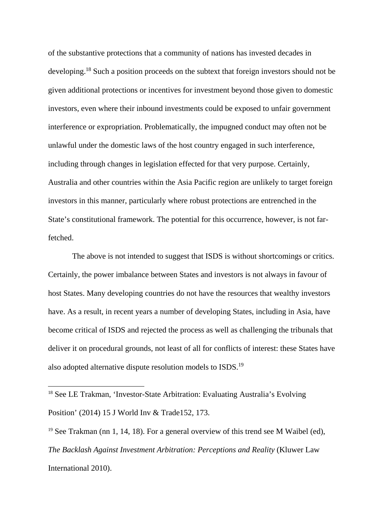of the substantive protections that a community of nations has invested decades in developing.18 Such a position proceeds on the subtext that foreign investors should not be given additional protections or incentives for investment beyond those given to domestic investors, even where their inbound investments could be exposed to unfair government interference or expropriation. Problematically, the impugned conduct may often not be unlawful under the domestic laws of the host country engaged in such interference, including through changes in legislation effected for that very purpose. Certainly, Australia and other countries within the Asia Pacific region are unlikely to target foreign investors in this manner, particularly where robust protections are entrenched in the State's constitutional framework. The potential for this occurrence, however, is not farfetched.

The above is not intended to suggest that ISDS is without shortcomings or critics. Certainly, the power imbalance between States and investors is not always in favour of host States. Many developing countries do not have the resources that wealthy investors have. As a result, in recent years a number of developing States, including in Asia, have become critical of ISDS and rejected the process as well as challenging the tribunals that deliver it on procedural grounds, not least of all for conflicts of interest: these States have also adopted alternative dispute resolution models to ISDS.19

<sup>&</sup>lt;sup>18</sup> See LE Trakman, 'Investor-State Arbitration: Evaluating Australia's Evolving Position' (2014) 15 J World Inv & Trade152, 173.

<sup>&</sup>lt;sup>19</sup> See Trakman (nn 1, 14, 18). For a general overview of this trend see M Waibel (ed), *The Backlash Against Investment Arbitration: Perceptions and Reality* (Kluwer Law International 2010).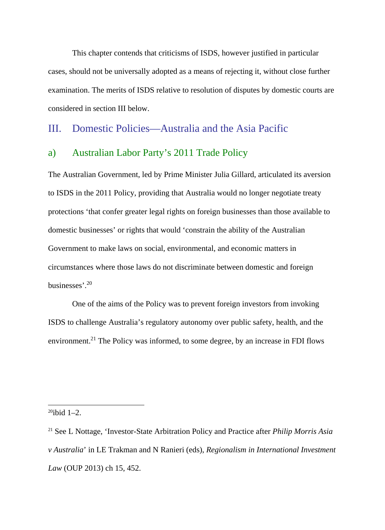This chapter contends that criticisms of ISDS, however justified in particular cases, should not be universally adopted as a means of rejecting it, without close further examination. The merits of ISDS relative to resolution of disputes by domestic courts are considered in section III below.

#### III. Domestic Policies—Australia and the Asia Pacific

#### a) Australian Labor Party's 2011 Trade Policy

The Australian Government, led by Prime Minister Julia Gillard, articulated its aversion to ISDS in the 2011 Policy, providing that Australia would no longer negotiate treaty protections 'that confer greater legal rights on foreign businesses than those available to domestic businesses' or rights that would 'constrain the ability of the Australian Government to make laws on social, environmental, and economic matters in circumstances where those laws do not discriminate between domestic and foreign businesses'. 20

One of the aims of the Policy was to prevent foreign investors from invoking ISDS to challenge Australia's regulatory autonomy over public safety, health, and the environment.<sup>21</sup> The Policy was informed, to some degree, by an increase in FDI flows

 $20$ ibid 1–2.

<sup>21</sup> See L Nottage, 'Investor-State Arbitration Policy and Practice after *Philip Morris Asia v Australia*' in LE Trakman and N Ranieri (eds), *Regionalism in International Investment Law* (OUP 2013) ch 15, 452.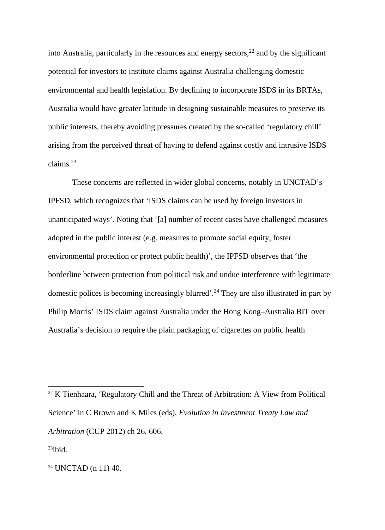into Australia, particularly in the resources and energy sectors,  $2^2$  and by the significant potential for investors to institute claims against Australia challenging domestic environmental and health legislation. By declining to incorporate ISDS in its BRTAs, Australia would have greater latitude in designing sustainable measures to preserve its public interests, thereby avoiding pressures created by the so-called 'regulatory chill' arising from the perceived threat of having to defend against costly and intrusive ISDS claims.<sup>23</sup>

These concerns are reflected in wider global concerns, notably in UNCTAD's IPFSD, which recognizes that 'ISDS claims can be used by foreign investors in unanticipated ways'. Noting that '[a] number of recent cases have challenged measures adopted in the public interest (e.g. measures to promote social equity, foster environmental protection or protect public health)', the IPFSD observes that 'the borderline between protection from political risk and undue interference with legitimate domestic polices is becoming increasingly blurred'. <sup>24</sup> They are also illustrated in part by Philip Morris' ISDS claim against Australia under the Hong Kong–Australia BIT over Australia's decision to require the plain packaging of cigarettes on public health

 $22$  K Tienhaara, 'Regulatory Chill and the Threat of Arbitration: A View from Political Science' in C Brown and K Miles (eds), *Evolution in Investment Treaty Law and Arbitration* (CUP 2012) ch 26, 606.

 $23$ ibid.

<sup>24</sup> UNCTAD (n 11) 40.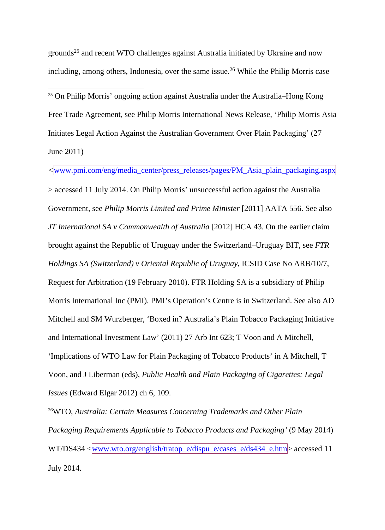grounds<sup>25</sup> and recent WTO challenges against Australia initiated by Ukraine and now including, among others, Indonesia, over the same issue.<sup>26</sup> While the Philip Morris case

 25 On Philip Morris' ongoing action against Australia under the Australia–Hong Kong Free Trade Agreement, see Philip Morris International News Release, 'Philip Morris Asia Initiates Legal Action Against the Australian Government Over Plain Packaging' (27 June 2011)

*<*www.pmi.com/eng/media\_center/press\_releases/pages/PM\_Asia\_plain\_packaging.aspx > accessed 11 July 2014. On Philip Morris' unsuccessful action against the Australia Government, see *Philip Morris Limited and Prime Minister* [2011] AATA 556. See also *JT International SA v Commonwealth of Australia* [2012] HCA 43. On the earlier claim brought against the Republic of Uruguay under the Switzerland–Uruguay BIT, see *FTR Holdings SA (Switzerland) v Oriental Republic of Uruguay*, ICSID Case No ARB/10/7, Request for Arbitration (19 February 2010). FTR Holding SA is a subsidiary of Philip Morris International Inc (PMI). PMI's Operation's Centre is in Switzerland. See also AD Mitchell and SM Wurzberger, 'Boxed in? Australia's Plain Tobacco Packaging Initiative and International Investment Law' (2011) 27 Arb Int 623; T Voon and A Mitchell, 'Implications of WTO Law for Plain Packaging of Tobacco Products' in A Mitchell, T Voon, and J Liberman (eds), *Public Health and Plain Packaging of Cigarettes: Legal Issues* (Edward Elgar 2012) ch 6, 109.

26WTO, *Australia: Certain Measures Concerning Trademarks and Other Plain Packaging Requirements Applicable to Tobacco Products and Packaging'* (9 May 2014) WT/DS434 <www.wto.org/english/tratop\_e/dispu\_e/cases\_e/ds434\_e.htm> accessed 11 July 2014.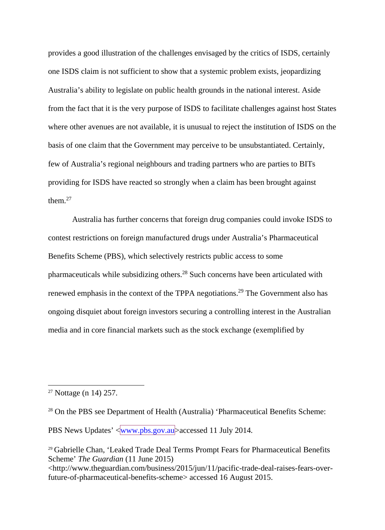provides a good illustration of the challenges envisaged by the critics of ISDS, certainly one ISDS claim is not sufficient to show that a systemic problem exists, jeopardizing Australia's ability to legislate on public health grounds in the national interest. Aside from the fact that it is the very purpose of ISDS to facilitate challenges against host States where other avenues are not available, it is unusual to reject the institution of ISDS on the basis of one claim that the Government may perceive to be unsubstantiated. Certainly, few of Australia's regional neighbours and trading partners who are parties to BITs providing for ISDS have reacted so strongly when a claim has been brought against them.<sup>27</sup>

Australia has further concerns that foreign drug companies could invoke ISDS to contest restrictions on foreign manufactured drugs under Australia's Pharmaceutical Benefits Scheme (PBS), which selectively restricts public access to some pharmaceuticals while subsidizing others.28 Such concerns have been articulated with renewed emphasis in the context of the TPPA negotiations.<sup>29</sup> The Government also has ongoing disquiet about foreign investors securing a controlling interest in the Australian media and in core financial markets such as the stock exchange (exemplified by

PBS News Updates' <www.pbs.gov.au>accessed 11 July 2014.

 <sup>27</sup> Nottage (n 14) 257.

<sup>28</sup> On the PBS see Department of Health (Australia) 'Pharmaceutical Benefits Scheme:

<sup>29</sup> Gabrielle Chan, 'Leaked Trade Deal Terms Prompt Fears for Pharmaceutical Benefits Scheme' *The Guardian* (11 June 2015)

<sup>&</sup>lt;http://www.theguardian.com/business/2015/jun/11/pacific-trade-deal-raises-fears-overfuture-of-pharmaceutical-benefits-scheme> accessed 16 August 2015.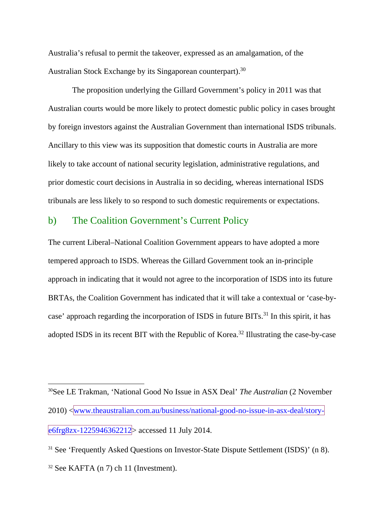Australia's refusal to permit the takeover, expressed as an amalgamation, of the Australian Stock Exchange by its Singaporean counterpart).<sup>30</sup>

The proposition underlying the Gillard Government's policy in 2011 was that Australian courts would be more likely to protect domestic public policy in cases brought by foreign investors against the Australian Government than international ISDS tribunals. Ancillary to this view was its supposition that domestic courts in Australia are more likely to take account of national security legislation, administrative regulations, and prior domestic court decisions in Australia in so deciding, whereas international ISDS tribunals are less likely to so respond to such domestic requirements or expectations.

#### b) The Coalition Government's Current Policy

The current Liberal–National Coalition Government appears to have adopted a more tempered approach to ISDS. Whereas the Gillard Government took an in-principle approach in indicating that it would not agree to the incorporation of ISDS into its future BRTAs, the Coalition Government has indicated that it will take a contextual or 'case-bycase' approach regarding the incorporation of ISDS in future BITs.<sup>31</sup> In this spirit, it has adopted ISDS in its recent BIT with the Republic of Korea.<sup>32</sup> Illustrating the case-by-case

 <sup>30</sup>See LE Trakman, 'National Good No Issue in ASX Deal' *The Australian* (2 November 2010) <www.theaustralian.com.au/business/national-good-no-issue-in-asx-deal/storye6frg8zx-1225946362212> accessed 11 July 2014.

<sup>&</sup>lt;sup>31</sup> See 'Frequently Asked Questions on Investor-State Dispute Settlement (ISDS)' (n 8).  $32$  See KAFTA (n 7) ch 11 (Investment).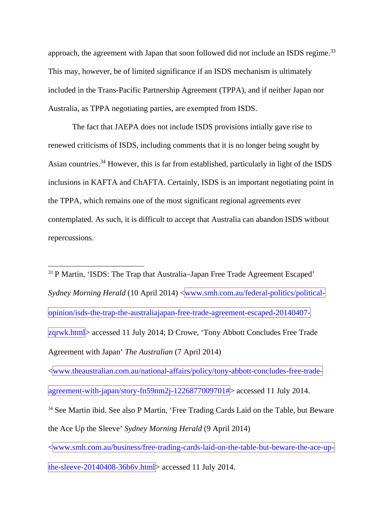approach, the agreement with Japan that soon followed did not include an ISDS regime.<sup>33</sup> This may, however, be of limited significance if an ISDS mechanism is ultimately included in the Trans-Pacific Partnership Agreement (TPPA), and if neither Japan nor Australia, as TPPA negotiating parties, are exempted from ISDS.

The fact that JAEPA does not include ISDS provisions intially gave rise to renewed criticisms of ISDS, including comments that it is no longer being sought by Asian countries.34 However, this is far from established, particularly in light of the ISDS inclusions in KAFTA and ChAFTA. Certainly, ISDS is an important negotiating point in the TPPA, which remains one of the most significant regional agreements ever contemplated. As such, it is difficult to accept that Australia can abandon ISDS without repercussions.

 33 P Martin, 'ISDS: The Trap that Australia–Japan Free Trade Agreement Escaped' *Sydney Morning Herald* (10 April 2014) <www.smh.com.au/federal-politics/politicalopinion/isds-the-trap-the-australiajapan-free-trade-agreement-escaped-20140407 zqrwk.html> accessed 11 July 2014; D Crowe, 'Tony Abbott Concludes Free Trade Agreement with Japan' *The Australian* (7 April 2014)

<www.theaustralian.com.au/national-affairs/policy/tony-abbott-concludes-free-tradeagreement-with-japan/story-fn59nm2j-1226877009701#> accessed 11 July 2014.

<sup>34</sup> See Martin ibid. See also P Martin, 'Free Trading Cards Laid on the Table, but Beware the Ace Up the Sleeve' *Sydney Morning Herald* (9 April 2014)

<www.smh.com.au/business/free-trading-cards-laid-on-the-table-but-beware-the-ace-up-

the-sleeve-20140408-36b6v.html $>$  accessed 11 July 2014.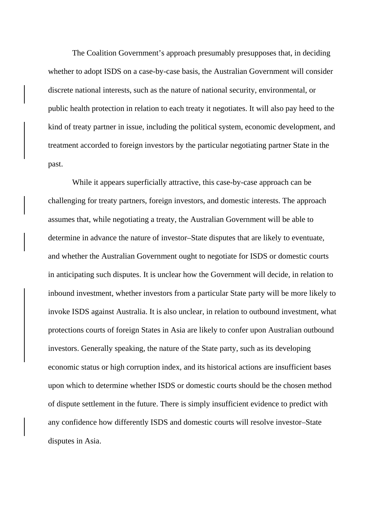The Coalition Government's approach presumably presupposes that, in deciding whether to adopt ISDS on a case-by-case basis, the Australian Government will consider discrete national interests, such as the nature of national security, environmental, or public health protection in relation to each treaty it negotiates. It will also pay heed to the kind of treaty partner in issue, including the political system, economic development, and treatment accorded to foreign investors by the particular negotiating partner State in the past.

While it appears superficially attractive, this case-by-case approach can be challenging for treaty partners, foreign investors, and domestic interests. The approach assumes that, while negotiating a treaty, the Australian Government will be able to determine in advance the nature of investor–State disputes that are likely to eventuate, and whether the Australian Government ought to negotiate for ISDS or domestic courts in anticipating such disputes. It is unclear how the Government will decide, in relation to inbound investment, whether investors from a particular State party will be more likely to invoke ISDS against Australia. It is also unclear, in relation to outbound investment, what protections courts of foreign States in Asia are likely to confer upon Australian outbound investors. Generally speaking, the nature of the State party, such as its developing economic status or high corruption index, and its historical actions are insufficient bases upon which to determine whether ISDS or domestic courts should be the chosen method of dispute settlement in the future. There is simply insufficient evidence to predict with any confidence how differently ISDS and domestic courts will resolve investor–State disputes in Asia.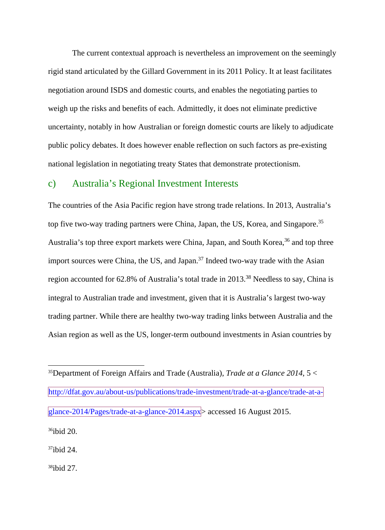The current contextual approach is nevertheless an improvement on the seemingly rigid stand articulated by the Gillard Government in its 2011 Policy. It at least facilitates negotiation around ISDS and domestic courts, and enables the negotiating parties to weigh up the risks and benefits of each. Admittedly, it does not eliminate predictive uncertainty, notably in how Australian or foreign domestic courts are likely to adjudicate public policy debates. It does however enable reflection on such factors as pre-existing national legislation in negotiating treaty States that demonstrate protectionism.

#### c) Australia's Regional Investment Interests

The countries of the Asia Pacific region have strong trade relations. In 2013, Australia's top five two-way trading partners were China, Japan, the US, Korea, and Singapore.<sup>35</sup> Australia's top three export markets were China, Japan, and South Korea,<sup>36</sup> and top three import sources were China, the US, and Japan.<sup>37</sup> Indeed two-way trade with the Asian region accounted for 62.8% of Australia's total trade in 2013.<sup>38</sup> Needless to say, China is integral to Australian trade and investment, given that it is Australia's largest two-way trading partner. While there are healthy two-way trading links between Australia and the Asian region as well as the US, longer-term outbound investments in Asian countries by

 35Department of Foreign Affairs and Trade (Australia), *Trade at a Glance 2014*, <sup>5</sup> <sup>&</sup>lt; http://dfat.gov.au/about-us/publications/trade-investment/trade-at-a-glance/trade-at-aglance-2014/Pages/trade-at-a-glance-2014.aspx> accessed 16 August 2015. 36ibid 20. 37ibid 24.

38ibid 27.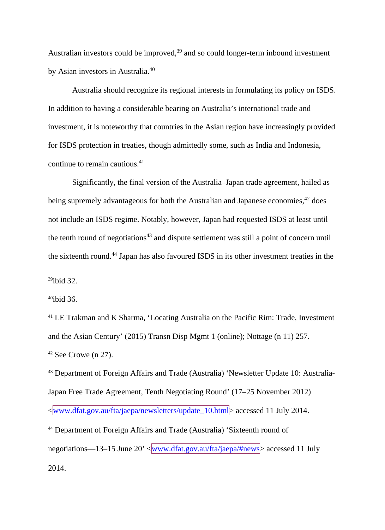Australian investors could be improved, $39$  and so could longer-term inbound investment by Asian investors in Australia.40

Australia should recognize its regional interests in formulating its policy on ISDS. In addition to having a considerable bearing on Australia's international trade and investment, it is noteworthy that countries in the Asian region have increasingly provided for ISDS protection in treaties, though admittedly some, such as India and Indonesia, continue to remain cautious.41

Significantly, the final version of the Australia–Japan trade agreement, hailed as being supremely advantageous for both the Australian and Japanese economies,<sup>42</sup> does not include an ISDS regime. Notably, however, Japan had requested ISDS at least until the tenth round of negotiations $43$  and dispute settlement was still a point of concern until the sixteenth round.44 Japan has also favoured ISDS in its other investment treaties in the

39ibid 32.

40ibid 36.

<sup>41</sup> LE Trakman and K Sharma, 'Locating Australia on the Pacific Rim: Trade, Investment and the Asian Century' (2015) Transn Disp Mgmt 1 (online); Nottage (n 11) 257.  $42$  See Crowe (n 27).

<sup>43</sup> Department of Foreign Affairs and Trade (Australia) 'Newsletter Update 10: Australia-Japan Free Trade Agreement, Tenth Negotiating Round' (17–25 November 2012) <www.dfat.gov.au/fta/jaepa/newsletters/update\_10.html> accessed 11 July 2014. <sup>44</sup> Department of Foreign Affairs and Trade (Australia) 'Sixteenth round of negotiations—13–15 June 20'  $\langle$ www.dfat.gov.au/fta/jaepa/#news $\rangle$  accessed 11 July

2014.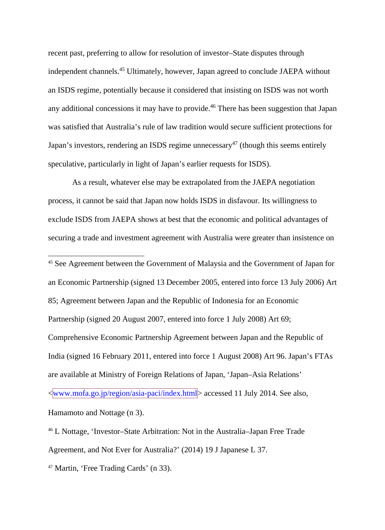recent past, preferring to allow for resolution of investor–State disputes through independent channels.45 Ultimately, however, Japan agreed to conclude JAEPA without an ISDS regime, potentially because it considered that insisting on ISDS was not worth any additional concessions it may have to provide.<sup>46</sup> There has been suggestion that Japan was satisfied that Australia's rule of law tradition would secure sufficient protections for Japan's investors, rendering an ISDS regime unnecessary<sup>47</sup> (though this seems entirely speculative, particularly in light of Japan's earlier requests for ISDS).

As a result, whatever else may be extrapolated from the JAEPA negotiation process, it cannot be said that Japan now holds ISDS in disfavour. Its willingness to exclude ISDS from JAEPA shows at best that the economic and political advantages of securing a trade and investment agreement with Australia were greater than insistence on

 45 See Agreement between the Government of Malaysia and the Government of Japan for an Economic Partnership (signed 13 December 2005, entered into force 13 July 2006) Art 85; Agreement between Japan and the Republic of Indonesia for an Economic Partnership (signed 20 August 2007, entered into force 1 July 2008) Art 69; Comprehensive Economic Partnership Agreement between Japan and the Republic of India (signed 16 February 2011, entered into force 1 August 2008) Art 96. Japan's FTAs are available at Ministry of Foreign Relations of Japan, 'Japan–Asia Relations' <www.mofa.go.jp/region/asia-paci/index.html> accessed 11 July 2014. See also, Hamamoto and Nottage (n 3).

<sup>46</sup> L Nottage, 'Investor–State Arbitration: Not in the Australia–Japan Free Trade Agreement, and Not Ever for Australia?' (2014) 19 J Japanese L 37.

<sup>47</sup> Martin, 'Free Trading Cards' (n 33).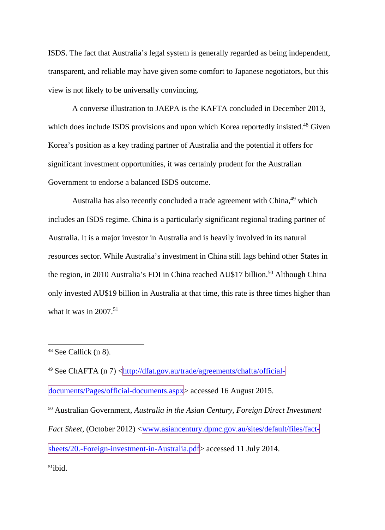ISDS. The fact that Australia's legal system is generally regarded as being independent, transparent, and reliable may have given some comfort to Japanese negotiators, but this view is not likely to be universally convincing.

A converse illustration to JAEPA is the KAFTA concluded in December 2013, which does include ISDS provisions and upon which Korea reportedly insisted.<sup>48</sup> Given Korea's position as a key trading partner of Australia and the potential it offers for significant investment opportunities, it was certainly prudent for the Australian Government to endorse a balanced ISDS outcome.

Australia has also recently concluded a trade agreement with China, <sup>49</sup> which includes an ISDS regime. China is a particularly significant regional trading partner of Australia. It is a major investor in Australia and is heavily involved in its natural resources sector. While Australia's investment in China still lags behind other States in the region, in 2010 Australia's FDI in China reached AU\$17 billion.<sup>50</sup> Although China only invested AU\$19 billion in Australia at that time, this rate is three times higher than what it was in  $2007$ .<sup>51</sup>

<sup>49</sup> See ChAFTA (n [7\)](#page-3-0) <http://dfat.gov.au/trade/agreements/chafta/officialdocuments/Pages/official-documents.aspx> accessed 16 August 2015.

<sup>50</sup> Australian Government, *Australia in the Asian Century, Foreign Direct Investment Fact Sheet*, (October 2012) <www.asiancentury.dpmc.gov.au/sites/default/files/factsheets/20.-Foreign-investment-in-Australia.pdf accessed 11 July 2014.  $51$ ibid.

 <sup>48</sup> See Callick (n 8).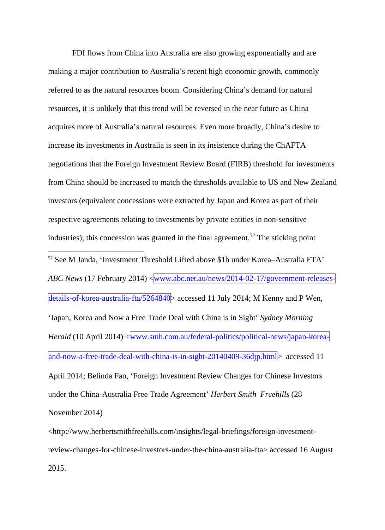FDI flows from China into Australia are also growing exponentially and are making a major contribution to Australia's recent high economic growth, commonly referred to as the natural resources boom. Considering China's demand for natural resources, it is unlikely that this trend will be reversed in the near future as China acquires more of Australia's natural resources. Even more broadly, China's desire to increase its investments in Australia is seen in its insistence during the ChAFTA negotiations that the Foreign Investment Review Board (FIRB) threshold for investments from China should be increased to match the thresholds available to US and New Zealand investors (equivalent concessions were extracted by Japan and Korea as part of their respective agreements relating to investments by private entities in non-sensitive industries); this concession was granted in the final agreement. <sup>52</sup> The sticking point 52 See M Janda, 'Investment Threshold Lifted above \$1b under Korea–Australia FTA' *ABC News* (17 February 2014) <www.abc.net.au/news/2014-02-17/government-releasesdetails-of-korea-australia-fta/5264840> accessed 11 July 2014; M Kenny and P Wen, 'Japan, Korea and Now a Free Trade Deal with China is in Sight' *Sydney Morning Herald* (10 April 2014) <www.smh.com.au/federal-politics/political-news/japan-koreaand-now-a-free-trade-deal-with-china-is-in-sight-20140409-36djp.html> accessed 11 April 2014; Belinda Fan, 'Foreign Investment Review Changes for Chinese Investors under the China-Australia Free Trade Agreement' *Herbert Smith Freehills* (28 November 2014)

<http://www.herbertsmithfreehills.com/insights/legal-briefings/foreign-investmentreview-changes-for-chinese-investors-under-the-china-australia-fta> accessed 16 August 2015.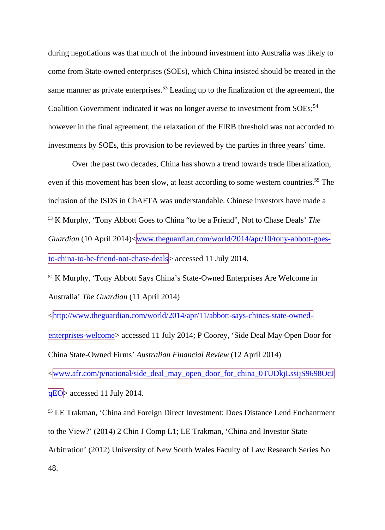during negotiations was that much of the inbound investment into Australia was likely to come from State-owned enterprises (SOEs), which China insisted should be treated in the same manner as private enterprises.<sup>53</sup> Leading up to the finalization of the agreement, the Coalition Government indicated it was no longer averse to investment from SOEs;<sup>54</sup> however in the final agreement, the relaxation of the FIRB threshold was not accorded to investments by SOEs, this provision to be reviewed by the parties in three years' time.

Over the past two decades, China has shown a trend towards trade liberalization, even if this movement has been slow, at least according to some western countries.<sup>55</sup> The inclusion of the ISDS in ChAFTA was understandable. Chinese investors have made a 53 K Murphy, 'Tony Abbott Goes to China "to be a Friend", Not to Chase Deals' *The Guardian* (10 April 2014)<www.theguardian.com/world/2014/apr/10/tony-abbott-goesto-china-to-be-friend-not-chase-deals> accessed 11 July 2014.

<sup>54</sup> K Murphy, 'Tony Abbott Says China's State-Owned Enterprises Are Welcome in Australia' *The Guardian* (11 April 2014)

<http://www.theguardian.com/world/2014/apr/11/abbott-says-chinas-state-ownedenterprises-welcome> accessed 11 July 2014; P Coorey, 'Side Deal May Open Door for China State-Owned Firms' *Australian Financial Review* (12 April 2014) <www.afr.com/p/national/side\_deal\_may\_open\_door\_for\_china\_0TUDkjLssijS9698OcJ

qEO> accessed 11 July 2014.

<sup>55</sup> LE Trakman, 'China and Foreign Direct Investment: Does Distance Lend Enchantment to the View?' (2014) 2 Chin J Comp L1; LE Trakman, 'China and Investor State Arbitration' (2012) University of New South Wales Faculty of Law Research Series No 48.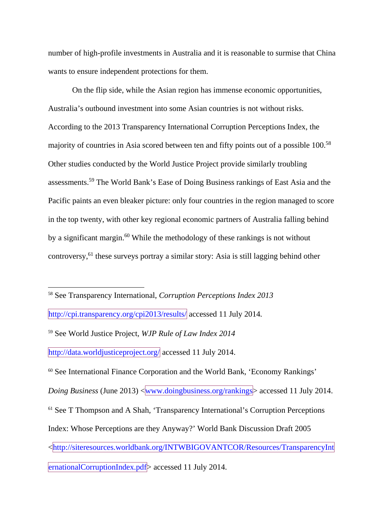number of high-profile investments in Australia and it is reasonable to surmise that China wants to ensure independent protections for them.

<span id="page-22-0"></span>On the flip side, while the Asian region has immense economic opportunities, Australia's outbound investment into some Asian countries is not without risks. According to the 2013 Transparency International Corruption Perceptions Index, the majority of countries in Asia scored between ten and fifty points out of a possible 100.58 Other studies conducted by the World Justice Project provide similarly troubling assessments.<sup>59</sup> The World Bank's Ease of Doing Business rankings of East Asia and the Pacific paints an even bleaker picture: only four countries in the region managed to score in the top twenty, with other key regional economic partners of Australia falling behind by a significant margin.<sup>60</sup> While the methodology of these rankings is not without controversy,61 these surveys portray a similar story: Asia is still lagging behind other

<span id="page-22-1"></span>58 See Transparency International, *Corruption Perceptions Index 2013* 

<http://cpi.transparency.org/cpi2013/results/> accessed 11 July 2014*.*

<sup>59</sup> See World Justice Project, *WJP Rule of Law Index 2014* 

<http://data.worldjusticeproject.org/> accessed 11 July 2014.

<sup>60</sup> See International Finance Corporation and the World Bank, 'Economy Rankings' *Doing Business* (June 2013)  $\langle$ www.doingbusiness.org/rankings $\rangle$  accessed 11 July 2014. <sup>61</sup> See T Thompson and A Shah, 'Transparency International's Corruption Perceptions Index: Whose Perceptions are they Anyway?' World Bank Discussion Draft 2005 <http://siteresources.worldbank.org/INTWBIGOVANTCOR/Resources/TransparencyInt ernationalCorruptionIndex.pdf> accessed 11 July 2014.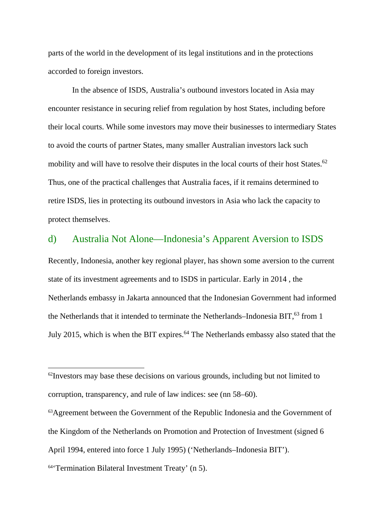parts of the world in the development of its legal institutions and in the protections accorded to foreign investors.

In the absence of ISDS, Australia's outbound investors located in Asia may encounter resistance in securing relief from regulation by host States, including before their local courts. While some investors may move their businesses to intermediary States to avoid the courts of partner States, many smaller Australian investors lack such mobility and will have to resolve their disputes in the local courts of their host States.<sup>62</sup> Thus, one of the practical challenges that Australia faces, if it remains determined to retire ISDS, lies in protecting its outbound investors in Asia who lack the capacity to protect themselves.

#### d) Australia Not Alone—Indonesia's Apparent Aversion to ISDS

Recently, Indonesia, another key regional player, has shown some aversion to the current state of its investment agreements and to ISDS in particular. Early in 2014 , the Netherlands embassy in Jakarta announced that the Indonesian Government had informed the Netherlands that it intended to terminate the Netherlands–Indonesia BIT,<sup>63</sup> from 1 July 2015, which is when the BIT expires.<sup>64</sup> The Netherlands embassy also stated that the

 $62$ Investors may base these decisions on various grounds, including but not limited to corruption, transparency, and rule of law indices: see (nn [58](#page-22-0)[–60\)](#page-22-1).

<sup>&</sup>lt;sup>63</sup>Agreement between the Government of the Republic Indonesia and the Government of the Kingdom of the Netherlands on Promotion and Protection of Investment (signed 6

April 1994, entered into force 1 July 1995) ('Netherlands–Indonesia BIT').

<sup>64&#</sup>x27;Termination Bilateral Investment Treaty' (n 5).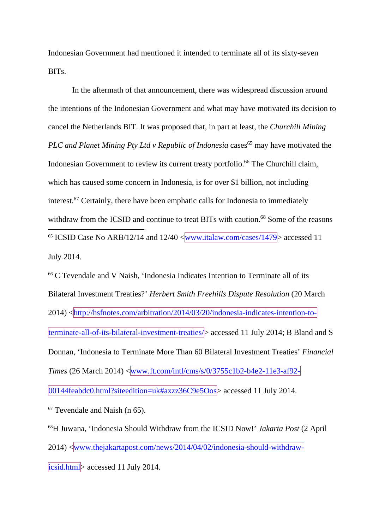Indonesian Government had mentioned it intended to terminate all of its sixty-seven BITs.

In the aftermath of that announcement, there was widespread discussion around the intentions of the Indonesian Government and what may have motivated its decision to cancel the Netherlands BIT. It was proposed that, in part at least, the *Churchill Mining PLC and Planet Mining Pty Ltd v Republic of Indonesia* cases<sup>65</sup> may have motivated the Indonesian Government to review its current treaty portfolio.<sup>66</sup> The Churchill claim, which has caused some concern in Indonesia, is for over \$1 billion, not including interest.67 Certainly, there have been emphatic calls for Indonesia to immediately withdraw from the ICSID and continue to treat BITs with caution.<sup>68</sup> Some of the reasons <sup>65</sup> ICSID Case No ARB/12/14 and  $12/40 \sqrt{\text{www.italaw.com/cases}/1479}$  accessed 11 July 2014.

<sup>66</sup> C Tevendale and V Naish, 'Indonesia Indicates Intention to Terminate all of its Bilateral Investment Treaties?' *Herbert Smith Freehills Dispute Resolution* (20 March 2014) <http://hsfnotes.com/arbitration/2014/03/20/indonesia-indicates-intention-toterminate-all-of-its-bilateral-investment-treaties/> accessed 11 July 2014; B Bland and S Donnan, 'Indonesia to Terminate More Than 60 Bilateral Investment Treaties' *Financial Times* (26 March 2014) <www.ft.com/intl/cms/s/0/3755c1b2-b4e2-11e3-af92-

00144feabdc0.html?siteedition=uk#axzz36C9e5Oos> accessed 11 July 2014.

 $67$  Tevendale and Naish (n 65).

68H Juwana, 'Indonesia Should Withdraw from the ICSID Now!' *Jakarta Post* (2 April 2014) <www.thejakartapost.com/news/2014/04/02/indonesia-should-withdrawicsid.html> accessed 11 July 2014.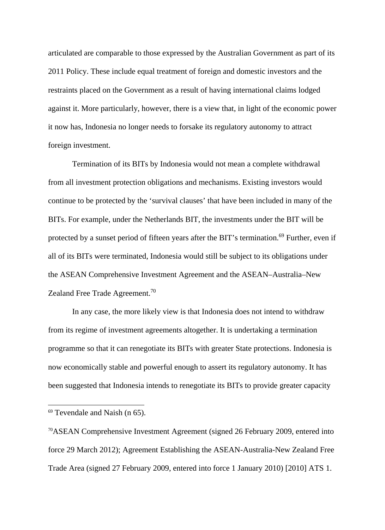articulated are comparable to those expressed by the Australian Government as part of its 2011 Policy. These include equal treatment of foreign and domestic investors and the restraints placed on the Government as a result of having international claims lodged against it. More particularly, however, there is a view that, in light of the economic power it now has, Indonesia no longer needs to forsake its regulatory autonomy to attract foreign investment.

Termination of its BITs by Indonesia would not mean a complete withdrawal from all investment protection obligations and mechanisms. Existing investors would continue to be protected by the 'survival clauses' that have been included in many of the BITs. For example, under the Netherlands BIT, the investments under the BIT will be protected by a sunset period of fifteen years after the BIT's termination.<sup>69</sup> Further, even if all of its BITs were terminated, Indonesia would still be subject to its obligations under the ASEAN Comprehensive Investment Agreement and the ASEAN–Australia–New Zealand Free Trade Agreement.<sup>70</sup>

In any case, the more likely view is that Indonesia does not intend to withdraw from its regime of investment agreements altogether. It is undertaking a termination programme so that it can renegotiate its BITs with greater State protections. Indonesia is now economically stable and powerful enough to assert its regulatory autonomy. It has been suggested that Indonesia intends to renegotiate its BITs to provide greater capacity

 $69$  Tevendale and Naish (n 65).

<sup>70</sup>ASEAN Comprehensive Investment Agreement (signed 26 February 2009, entered into force 29 March 2012); Agreement Establishing the ASEAN-Australia-New Zealand Free Trade Area (signed 27 February 2009, entered into force 1 January 2010) [2010] ATS 1.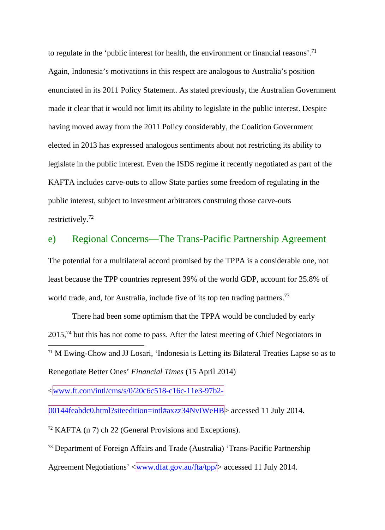to regulate in the 'public interest for health, the environment or financial reasons'.<sup>71</sup> Again, Indonesia's motivations in this respect are analogous to Australia's position enunciated in its 2011 Policy Statement. As stated previously, the Australian Government made it clear that it would not limit its ability to legislate in the public interest. Despite having moved away from the 2011 Policy considerably, the Coalition Government elected in 2013 has expressed analogous sentiments about not restricting its ability to legislate in the public interest. Even the ISDS regime it recently negotiated as part of the KAFTA includes carve-outs to allow State parties some freedom of regulating in the public interest, subject to investment arbitrators construing those carve-outs restrictively.72

#### e) Regional Concerns—The Trans-Pacific Partnership Agreement

The potential for a multilateral accord promised by the TPPA is a considerable one, not least because the TPP countries represent 39% of the world GDP, account for 25.8% of world trade, and, for Australia, include five of its top ten trading partners.<sup>73</sup>

There had been some optimism that the TPPA would be concluded by early  $2015<sup>74</sup>$  but this has not come to pass. After the latest meeting of Chief Negotiators in 71 <sup>M</sup> Ewing-Chow and JJ Losari, 'Indonesia is Letting its Bilateral Treaties Lapse so as to Renegotiate Better Ones' *Financial Times* (15 April 2014)

 $\langle$ www.ft.com/intl/cms/s/0/20c6c518-c16c-11e3-97b2-

00144feabdc0.html?siteedition=intl#axzz34NvIWeHB> accessed 11 July 2014.

 $72$  KAFTA (n 7) ch 22 (General Provisions and Exceptions).

<sup>73</sup> Department of Foreign Affairs and Trade (Australia) 'Trans-Pacific Partnership

Agreement Negotiations'  $\langle$ www.dfat.gov.au/fta/tpp/ $\rangle$  accessed 11 July 2014.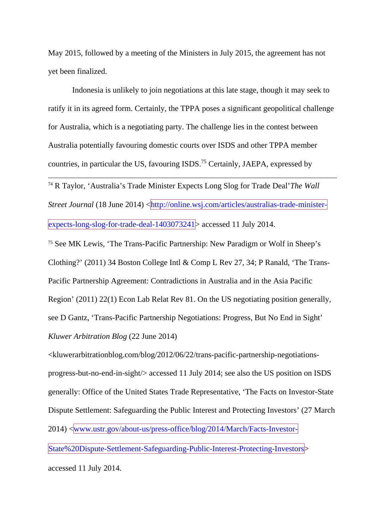May 2015, followed by a meeting of the Ministers in July 2015, the agreement has not yet been finalized.

Indonesia is unlikely to join negotiations at this late stage, though it may seek to ratify it in its agreed form. Certainly, the TPPA poses a significant geopolitical challenge for Australia, which is a negotiating party. The challenge lies in the contest between Australia potentially favouring domestic courts over ISDS and other TPPA member countries, in particular the US, favouring ISDS.75 Certainly, JAEPA, expressed by

 74 R Taylor, 'Australia's Trade Minister Expects Long Slog for Trade Deal'*The Wall Street Journal* (18 June 2014) < $\frac{$ http://online.wsj.com/articles/australias-trade-ministerexpects-long-slog-for-trade-deal-1403073241> accessed 11 July 2014.

<sup>75</sup> See MK Lewis, 'The Trans-Pacific Partnership: New Paradigm or Wolf in Sheep's Clothing?' (2011) 34 Boston College Intl & Comp L Rev 27, 34; P Ranald, 'The Trans-Pacific Partnership Agreement: Contradictions in Australia and in the Asia Pacific Region' (2011) 22(1) Econ Lab Relat Rev 81. On the US negotiating position generally, see D Gantz, 'Trans-Pacific Partnership Negotiations: Progress, But No End in Sight' *Kluwer Arbitration Blog* (22 June 2014)

<kluwerarbitrationblog.com/blog/2012/06/22/trans-pacific-partnership-negotiationsprogress-but-no-end-in-sight/> accessed 11 July 2014; see also the US position on ISDS generally: Office of the United States Trade Representative, 'The Facts on Investor-State Dispute Settlement: Safeguarding the Public Interest and Protecting Investors' (27 March 2014) <www.ustr.gov/about-us/press-office/blog/2014/March/Facts-Investor-State%20Dispute-Settlement-Safeguarding-Public-Interest-Protecting-Investors> accessed 11 July 2014.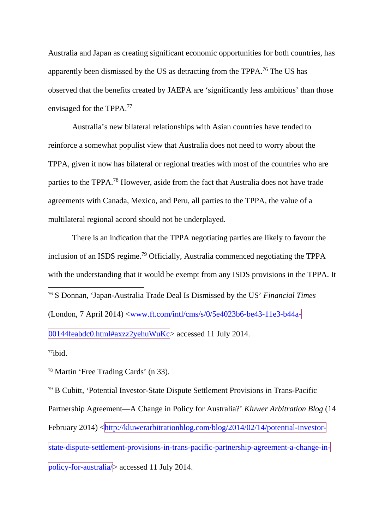Australia and Japan as creating significant economic opportunities for both countries, has apparently been dismissed by the US as detracting from the TPPA.<sup>76</sup> The US has observed that the benefits created by JAEPA are 'significantly less ambitious' than those envisaged for the TPPA.77

Australia's new bilateral relationships with Asian countries have tended to reinforce a somewhat populist view that Australia does not need to worry about the TPPA, given it now has bilateral or regional treaties with most of the countries who are parties to the TPPA.<sup>78</sup> However, aside from the fact that Australia does not have trade agreements with Canada, Mexico, and Peru, all parties to the TPPA, the value of a multilateral regional accord should not be underplayed.

There is an indication that the TPPA negotiating parties are likely to favour the inclusion of an ISDS regime.<sup>79</sup> Officially, Australia commenced negotiating the TPPA with the understanding that it would be exempt from any ISDS provisions in the TPPA. It 76 S Donnan, 'Japan-Australia Trade Deal Is Dismissed by the US' *Financial Times* (London, 7 April 2014) <www.ft.com/intl/cms/s/0/5e4023b6-be43-11e3-b44a- $|00144$ feabdc0.html#axzz2yehuWuKc $>$  accessed 11 July 2014.

 $77$ ibid.

<sup>78</sup> Martin 'Free Trading Cards' (n 33).

<sup>79</sup> B Cubitt, 'Potential Investor-State Dispute Settlement Provisions in Trans-Pacific Partnership Agreement—A Change in Policy for Australia?' *Kluwer Arbitration Blog* (14 February 2014) <http://kluwerarbitrationblog.com/blog/2014/02/14/potential-investorstate-dispute-settlement-provisions-in-trans-pacific-partnership-agreement-a-change-inpolicy-for-australia/> accessed 11 July 2014.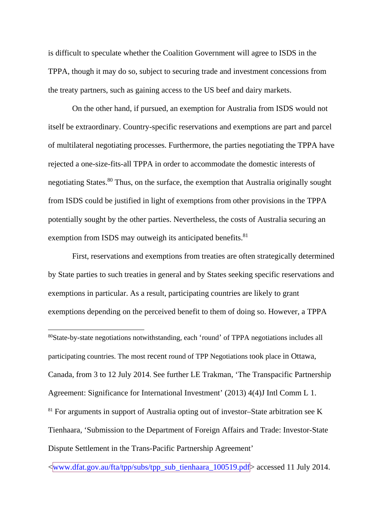is difficult to speculate whether the Coalition Government will agree to ISDS in the TPPA, though it may do so, subject to securing trade and investment concessions from the treaty partners, such as gaining access to the US beef and dairy markets.

On the other hand, if pursued, an exemption for Australia from ISDS would not itself be extraordinary. Country-specific reservations and exemptions are part and parcel of multilateral negotiating processes. Furthermore, the parties negotiating the TPPA have rejected a one-size-fits-all TPPA in order to accommodate the domestic interests of negotiating States.<sup>80</sup> Thus, on the surface, the exemption that Australia originally sought from ISDS could be justified in light of exemptions from other provisions in the TPPA potentially sought by the other parties. Nevertheless, the costs of Australia securing an exemption from ISDS may outweigh its anticipated benefits.<sup>81</sup>

First, reservations and exemptions from treaties are often strategically determined by State parties to such treaties in general and by States seeking specific reservations and exemptions in particular. As a result, participating countries are likely to grant exemptions depending on the perceived benefit to them of doing so. However, a TPPA

 80State-by-state negotiations notwithstanding, each 'round' of TPPA negotiations includes all participating countries. The most recent round of TPP Negotiations took place in Ottawa, Canada, from 3 to 12 July 2014. See further LE Trakman, 'The Transpacific Partnership Agreement: Significance for International Investment' (2013) 4(4)J Intl Comm L 1. <sup>81</sup> For arguments in support of Australia opting out of investor–State arbitration see K Tienhaara, 'Submission to the Department of Foreign Affairs and Trade: Investor-State Dispute Settlement in the Trans-Pacific Partnership Agreement'

<www.dfat.gov.au/fta/tpp/subs/tpp\_sub\_tienhaara\_100519.pdf> accessed 11 July 2014.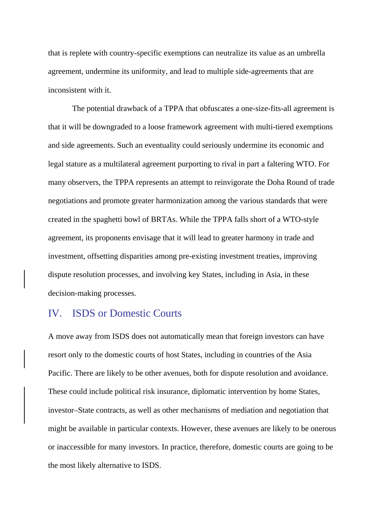that is replete with country-specific exemptions can neutralize its value as an umbrella agreement, undermine its uniformity, and lead to multiple side-agreements that are inconsistent with it.

The potential drawback of a TPPA that obfuscates a one-size-fits-all agreement is that it will be downgraded to a loose framework agreement with multi-tiered exemptions and side agreements. Such an eventuality could seriously undermine its economic and legal stature as a multilateral agreement purporting to rival in part a faltering WTO. For many observers, the TPPA represents an attempt to reinvigorate the Doha Round of trade negotiations and promote greater harmonization among the various standards that were created in the spaghetti bowl of BRTAs. While the TPPA falls short of a WTO-style agreement, its proponents envisage that it will lead to greater harmony in trade and investment, offsetting disparities among pre-existing investment treaties, improving dispute resolution processes, and involving key States, including in Asia, in these decision-making processes.

#### IV. ISDS or Domestic Courts

A move away from ISDS does not automatically mean that foreign investors can have resort only to the domestic courts of host States, including in countries of the Asia Pacific. There are likely to be other avenues, both for dispute resolution and avoidance. These could include political risk insurance, diplomatic intervention by home States, investor–State contracts, as well as other mechanisms of mediation and negotiation that might be available in particular contexts. However, these avenues are likely to be onerous or inaccessible for many investors. In practice, therefore, domestic courts are going to be the most likely alternative to ISDS.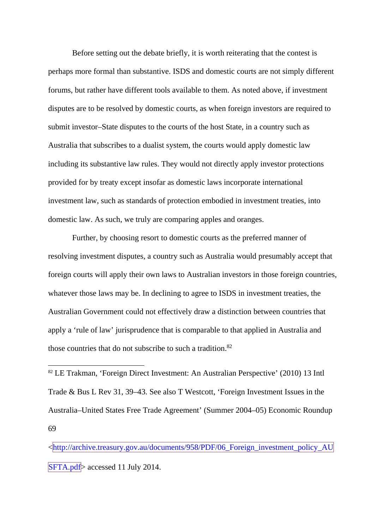Before setting out the debate briefly, it is worth reiterating that the contest is perhaps more formal than substantive. ISDS and domestic courts are not simply different forums, but rather have different tools available to them. As noted above, if investment disputes are to be resolved by domestic courts, as when foreign investors are required to submit investor–State disputes to the courts of the host State, in a country such as Australia that subscribes to a dualist system, the courts would apply domestic law including its substantive law rules. They would not directly apply investor protections provided for by treaty except insofar as domestic laws incorporate international investment law, such as standards of protection embodied in investment treaties, into domestic law. As such, we truly are comparing apples and oranges.

Further, by choosing resort to domestic courts as the preferred manner of resolving investment disputes, a country such as Australia would presumably accept that foreign courts will apply their own laws to Australian investors in those foreign countries, whatever those laws may be. In declining to agree to ISDS in investment treaties, the Australian Government could not effectively draw a distinction between countries that apply a 'rule of law' jurisprudence that is comparable to that applied in Australia and those countries that do not subscribe to such a tradition.<sup>82</sup>

 82 LE Trakman, 'Foreign Direct Investment: An Australian Perspective' (2010) 13 Intl Trade & Bus L Rev 31, 39–43. See also T Westcott, 'Foreign Investment Issues in the Australia–United States Free Trade Agreement' (Summer 2004–05) Economic Roundup 69

<http://archive.treasury.gov.au/documents/958/PDF/06\_Foreign\_investment\_policy\_AU SFTA.pdf accessed 11 July 2014.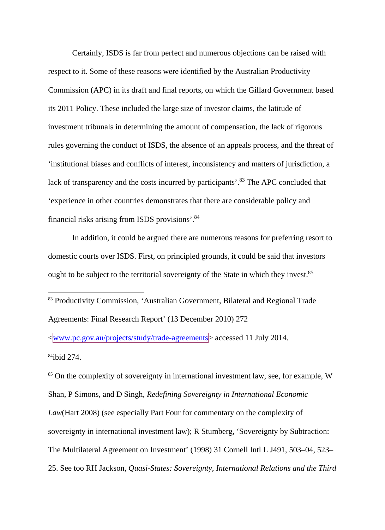Certainly, ISDS is far from perfect and numerous objections can be raised with respect to it. Some of these reasons were identified by the Australian Productivity Commission (APC) in its draft and final reports, on which the Gillard Government based its 2011 Policy. These included the large size of investor claims, the latitude of investment tribunals in determining the amount of compensation, the lack of rigorous rules governing the conduct of ISDS, the absence of an appeals process, and the threat of 'institutional biases and conflicts of interest, inconsistency and matters of jurisdiction, a lack of transparency and the costs incurred by participants'.<sup>83</sup> The APC concluded that 'experience in other countries demonstrates that there are considerable policy and financial risks arising from ISDS provisions'. 84

In addition, it could be argued there are numerous reasons for preferring resort to domestic courts over ISDS. First, on principled grounds, it could be said that investors ought to be subject to the territorial sovereignty of the State in which they invest.<sup>85</sup>

 83 Productivity Commission, 'Australian Government, Bilateral and Regional Trade Agreements: Final Research Report' (13 December 2010) 272

<www.pc.gov.au/projects/study/trade-agreements> accessed 11 July 2014. 84ibid 274.

<sup>85</sup> On the complexity of sovereignty in international investment law, see, for example, W Shan, P Simons, and D Singh, *Redefining Sovereignty in International Economic Law*(Hart 2008) (see especially Part Four for commentary on the complexity of sovereignty in international investment law); R Stumberg, 'Sovereignty by Subtraction: The Multilateral Agreement on Investment' (1998) 31 Cornell Intl L J491, 503–04, 523– 25. See too RH Jackson, *Quasi-States: Sovereignty, International Relations and the Third*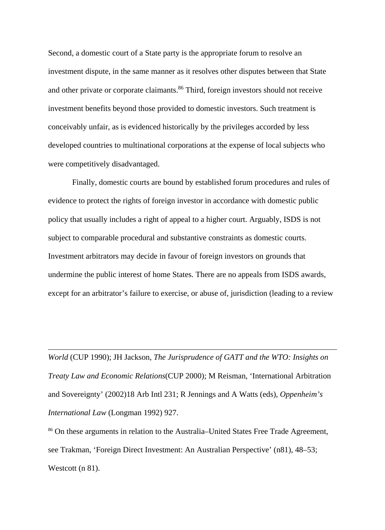Second, a domestic court of a State party is the appropriate forum to resolve an investment dispute, in the same manner as it resolves other disputes between that State and other private or corporate claimants.<sup>86</sup> Third, foreign investors should not receive investment benefits beyond those provided to domestic investors. Such treatment is conceivably unfair, as is evidenced historically by the privileges accorded by less developed countries to multinational corporations at the expense of local subjects who were competitively disadvantaged.

Finally, domestic courts are bound by established forum procedures and rules of evidence to protect the rights of foreign investor in accordance with domestic public policy that usually includes a right of appeal to a higher court. Arguably, ISDS is not subject to comparable procedural and substantive constraints as domestic courts. Investment arbitrators may decide in favour of foreign investors on grounds that undermine the public interest of home States. There are no appeals from ISDS awards, except for an arbitrator's failure to exercise, or abuse of, jurisdiction (leading to a review

*World* (CUP 1990); JH Jackson, *The Jurisprudence of GATT and the WTO: Insights on Treaty Law and Economic Relations*(CUP 2000); M Reisman, 'International Arbitration and Sovereignty' (2002)18 Arb Intl 231; R Jennings and A Watts (eds), *Oppenheim's International Law* (Longman 1992) 927.

 $\overline{a}$ 

<sup>86</sup> On these arguments in relation to the Australia–United States Free Trade Agreement, see Trakman, 'Foreign Direct Investment: An Australian Perspective' (n81), 48–53; Westcott (n 81).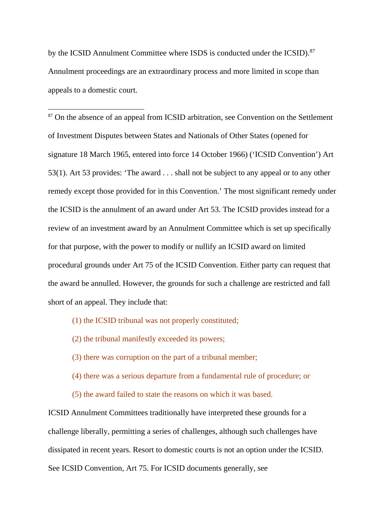<span id="page-34-0"></span>by the ICSID Annulment Committee where ISDS is conducted under the ICSID).<sup>87</sup> Annulment proceedings are an extraordinary process and more limited in scope than appeals to a domestic court.

<sup>87</sup> On the absence of an appeal from ICSID arbitration, see Convention on the Settlement of Investment Disputes between States and Nationals of Other States (opened for signature 18 March 1965, entered into force 14 October 1966) ('ICSID Convention') Art 53(1). Art 53 provides: 'The award . . . shall not be subject to any appeal or to any other remedy except those provided for in this Convention.' The most significant remedy under the ICSID is the annulment of an award under Art 53. The ICSID provides instead for a review of an investment award by an Annulment Committee which is set up specifically for that purpose, with the power to modify or nullify an ICSID award on limited procedural grounds under Art 75 of the ICSID Convention. Either party can request that the award be annulled. However, the grounds for such a challenge are restricted and fall short of an appeal. They include that:

- (1) the ICSID tribunal was not properly constituted;
- (2) the tribunal manifestly exceeded its powers;
- (3) there was corruption on the part of a tribunal member;
- (4) there was a serious departure from a fundamental rule of procedure; or
- (5) the award failed to state the reasons on which it was based.

ICSID Annulment Committees traditionally have interpreted these grounds for a challenge liberally, permitting a series of challenges, although such challenges have dissipated in recent years. Resort to domestic courts is not an option under the ICSID. See ICSID Convention, Art 75. For ICSID documents generally, see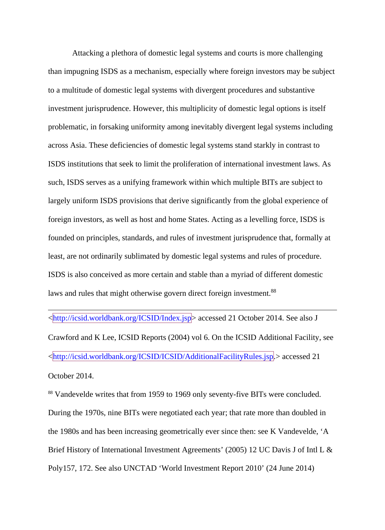Attacking a plethora of domestic legal systems and courts is more challenging than impugning ISDS as a mechanism, especially where foreign investors may be subject to a multitude of domestic legal systems with divergent procedures and substantive investment jurisprudence. However, this multiplicity of domestic legal options is itself problematic, in forsaking uniformity among inevitably divergent legal systems including across Asia. These deficiencies of domestic legal systems stand starkly in contrast to ISDS institutions that seek to limit the proliferation of international investment laws. As such, ISDS serves as a unifying framework within which multiple BITs are subject to largely uniform ISDS provisions that derive significantly from the global experience of foreign investors, as well as host and home States. Acting as a levelling force, ISDS is founded on principles, standards, and rules of investment jurisprudence that, formally at least, are not ordinarily sublimated by domestic legal systems and rules of procedure. ISDS is also conceived as more certain and stable than a myriad of different domestic laws and rules that might otherwise govern direct foreign investment.<sup>88</sup>

<http://icsid.worldbank.org/ICSID/Index.jsp> accessed 21 October 2014. See also J Crawford and K Lee, ICSID Reports (2004) vol 6. On the ICSID Additional Facility, see <http://icsid.worldbank.org/ICSID/ICSID/AdditionalFacilityRules.jsp.> accessed 21 October 2014.

 $\overline{a}$ 

<sup>88</sup> Vandevelde writes that from 1959 to 1969 only seventy-five BITs were concluded. During the 1970s, nine BITs were negotiated each year; that rate more than doubled in the 1980s and has been increasing geometrically ever since then: see K Vandevelde, 'A Brief History of International Investment Agreements' (2005) 12 UC Davis J of Intl L & Poly157, 172. See also UNCTAD 'World Investment Report 2010' (24 June 2014)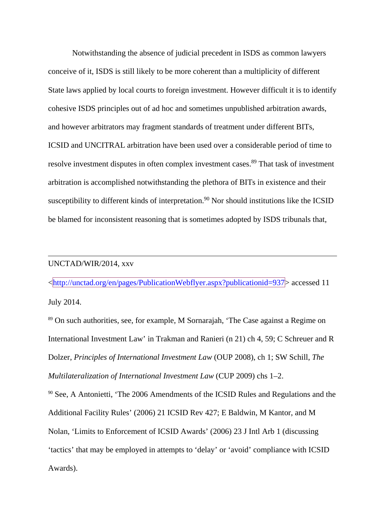Notwithstanding the absence of judicial precedent in ISDS as common lawyers conceive of it, ISDS is still likely to be more coherent than a multiplicity of different State laws applied by local courts to foreign investment. However difficult it is to identify cohesive ISDS principles out of ad hoc and sometimes unpublished arbitration awards, and however arbitrators may fragment standards of treatment under different BITs, ICSID and UNCITRAL arbitration have been used over a considerable period of time to resolve investment disputes in often complex investment cases.<sup>89</sup> That task of investment arbitration is accomplished notwithstanding the plethora of BITs in existence and their susceptibility to different kinds of interpretation.<sup>90</sup> Nor should institutions like the ICSID be blamed for inconsistent reasoning that is sometimes adopted by ISDS tribunals that,

#### UNCTAD/WIR/2014, xxv

 $\overline{a}$ 

<http://unctad.org/en/pages/PublicationWebflyer.aspx?publicationid=937> accessed 11 July 2014.

<sup>89</sup> On such authorities, see, for example, M Sornarajah, 'The Case against a Regime on International Investment Law' in Trakman and Ranieri (n 21) ch 4, 59; C Schreuer and R Dolzer, *Principles of International Investment Law* (OUP 2008), ch 1; SW Schill, *The Multilateralization of International Investment Law* (CUP 2009) chs 1–2.

<sup>90</sup> See, A Antonietti, 'The 2006 Amendments of the ICSID Rules and Regulations and the Additional Facility Rules' (2006) 21 ICSID Rev 427; E Baldwin, M Kantor, and M Nolan, 'Limits to Enforcement of ICSID Awards' (2006) 23 J Intl Arb 1 (discussing 'tactics' that may be employed in attempts to 'delay' or 'avoid' compliance with ICSID Awards).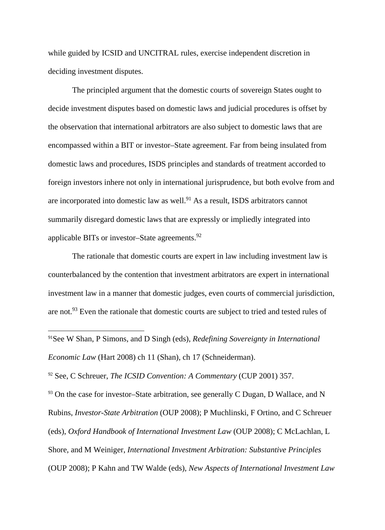while guided by ICSID and UNCITRAL rules, exercise independent discretion in deciding investment disputes.

The principled argument that the domestic courts of sovereign States ought to decide investment disputes based on domestic laws and judicial procedures is offset by the observation that international arbitrators are also subject to domestic laws that are encompassed within a BIT or investor–State agreement. Far from being insulated from domestic laws and procedures, ISDS principles and standards of treatment accorded to foreign investors inhere not only in international jurisprudence, but both evolve from and are incorporated into domestic law as well.<sup>91</sup> As a result, ISDS arbitrators cannot summarily disregard domestic laws that are expressly or impliedly integrated into applicable BITs or investor–State agreements.<sup>92</sup>

The rationale that domestic courts are expert in law including investment law is counterbalanced by the contention that investment arbitrators are expert in international investment law in a manner that domestic judges, even courts of commercial jurisdiction, are not.<sup>93</sup> Even the rationale that domestic courts are subject to tried and tested rules of

 $93$  On the case for investor–State arbitration, see generally C Dugan, D Wallace, and N Rubins, *Investor-State Arbitration* (OUP 2008); P Muchlinski, F Ortino, and C Schreuer (eds), *Oxford Handbook of International Investment Law* (OUP 2008); C McLachlan, L Shore, and M Weiniger, *International Investment Arbitration: Substantive Principles*  (OUP 2008); P Kahn and TW Walde (eds), *New Aspects of International Investment Law*

 <sup>91</sup>See W Shan, P Simons, and D Singh (eds), *Redefining Sovereignty in International Economic Law* (Hart 2008) ch 11 (Shan), ch 17 (Schneiderman).

<sup>92</sup> See, C Schreuer, *The ICSID Convention: A Commentary* (CUP 2001) 357.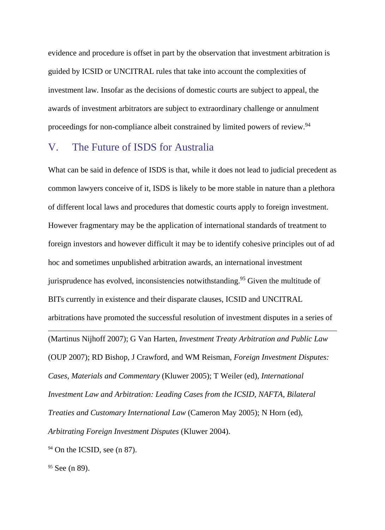evidence and procedure is offset in part by the observation that investment arbitration is guided by ICSID or UNCITRAL rules that take into account the complexities of investment law*.* Insofar as the decisions of domestic courts are subject to appeal, the awards of investment arbitrators are subject to extraordinary challenge or annulment proceedings for non-compliance albeit constrained by limited powers of review.<sup>94</sup>

#### V. The Future of ISDS for Australia

What can be said in defence of ISDS is that, while it does not lead to judicial precedent as common lawyers conceive of it, ISDS is likely to be more stable in nature than a plethora of different local laws and procedures that domestic courts apply to foreign investment. However fragmentary may be the application of international standards of treatment to foreign investors and however difficult it may be to identify cohesive principles out of ad hoc and sometimes unpublished arbitration awards, an international investment jurisprudence has evolved, inconsistencies notwithstanding.95 Given the multitude of BITs currently in existence and their disparate clauses, ICSID and UNCITRAL arbitrations have promoted the successful resolution of investment disputes in a series of  $\overline{a}$ (Martinus Nijhoff 2007); G Van Harten, *Investment Treaty Arbitration and Public Law* (OUP 2007); RD Bishop, J Crawford, and WM Reisman, *Foreign Investment Disputes: Cases, Materials and Commentary* (Kluwer 2005); T Weiler (ed), *International Investment Law and Arbitration: Leading Cases from the ICSID, NAFTA, Bilateral Treaties and Customary International Law* (Cameron May 2005); N Horn (ed), *Arbitrating Foreign Investment Disputes* (Kluwer 2004).

 $94$  On the ICSID, see (n [87\)](#page-34-0).

 $95$  See (n 89).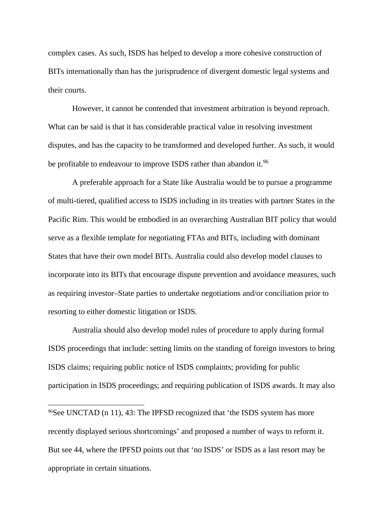complex cases. As such, ISDS has helped to develop a more cohesive construction of BITs internationally than has the jurisprudence of divergent domestic legal systems and their courts.

However, it cannot be contended that investment arbitration is beyond reproach. What can be said is that it has considerable practical value in resolving investment disputes, and has the capacity to be transformed and developed further. As such, it would be profitable to endeavour to improve ISDS rather than abandon it.<sup>96</sup>

A preferable approach for a State like Australia would be to pursue a programme of multi-tiered, qualified access to ISDS including in its treaties with partner States in the Pacific Rim. This would be embodied in an overarching Australian BIT policy that would serve as a flexible template for negotiating FTAs and BITs, including with dominant States that have their own model BITs. Australia could also develop model clauses to incorporate into its BITs that encourage dispute prevention and avoidance measures, such as requiring investor–State parties to undertake negotiations and/or conciliation prior to resorting to either domestic litigation or ISDS.

Australia should also develop model rules of procedure to apply during formal ISDS proceedings that include: setting limits on the standing of foreign investors to bring ISDS claims; requiring public notice of ISDS complaints; providing for public participation in ISDS proceedings; and requiring publication of ISDS awards. It may also

 96See UNCTAD (n 11), 43: The IPFSD recognized that 'the ISDS system has more recently displayed serious shortcomings' and proposed a number of ways to reform it. But see 44, where the IPFSD points out that 'no ISDS' or ISDS as a last resort may be appropriate in certain situations.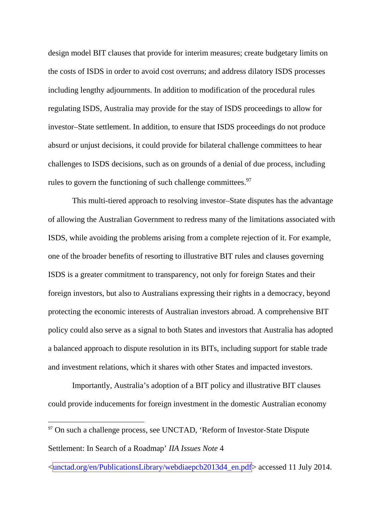design model BIT clauses that provide for interim measures; create budgetary limits on the costs of ISDS in order to avoid cost overruns; and address dilatory ISDS processes including lengthy adjournments. In addition to modification of the procedural rules regulating ISDS, Australia may provide for the stay of ISDS proceedings to allow for investor–State settlement. In addition, to ensure that ISDS proceedings do not produce absurd or unjust decisions, it could provide for bilateral challenge committees to hear challenges to ISDS decisions, such as on grounds of a denial of due process, including rules to govern the functioning of such challenge committees.<sup>97</sup>

This multi-tiered approach to resolving investor–State disputes has the advantage of allowing the Australian Government to redress many of the limitations associated with ISDS, while avoiding the problems arising from a complete rejection of it. For example, one of the broader benefits of resorting to illustrative BIT rules and clauses governing ISDS is a greater commitment to transparency, not only for foreign States and their foreign investors, but also to Australians expressing their rights in a democracy, beyond protecting the economic interests of Australian investors abroad. A comprehensive BIT policy could also serve as a signal to both States and investors that Australia has adopted a balanced approach to dispute resolution in its BITs, including support for stable trade and investment relations, which it shares with other States and impacted investors.

Importantly, Australia's adoption of a BIT policy and illustrative BIT clauses could provide inducements for foreign investment in the domestic Australian economy

 $97$  On such a challenge process, see UNCTAD, 'Reform of Investor-State Dispute Settlement: In Search of a Roadmap' *IIA Issues Note* 4

<sup>&</sup>lt;unctad.org/en/PublicationsLibrary/webdiaepcb2013d4\_en.pdf> accessed 11 July 2014.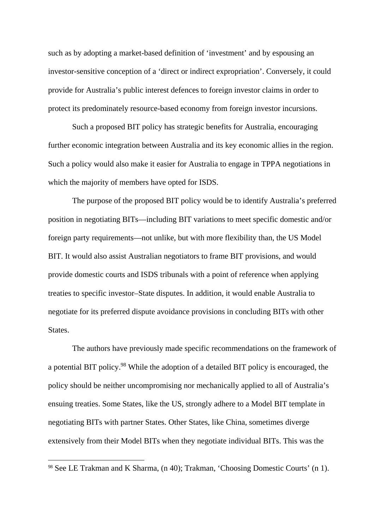such as by adopting a market-based definition of 'investment' and by espousing an investor-sensitive conception of a 'direct or indirect expropriation'. Conversely, it could provide for Australia's public interest defences to foreign investor claims in order to protect its predominately resource-based economy from foreign investor incursions.

Such a proposed BIT policy has strategic benefits for Australia, encouraging further economic integration between Australia and its key economic allies in the region. Such a policy would also make it easier for Australia to engage in TPPA negotiations in which the majority of members have opted for ISDS.

The purpose of the proposed BIT policy would be to identify Australia's preferred position in negotiating BITs—including BIT variations to meet specific domestic and/or foreign party requirements—not unlike, but with more flexibility than, the US Model BIT. It would also assist Australian negotiators to frame BIT provisions, and would provide domestic courts and ISDS tribunals with a point of reference when applying treaties to specific investor–State disputes. In addition, it would enable Australia to negotiate for its preferred dispute avoidance provisions in concluding BITs with other States.

The authors have previously made specific recommendations on the framework of a potential BIT policy.<sup>98</sup> While the adoption of a detailed BIT policy is encouraged, the policy should be neither uncompromising nor mechanically applied to all of Australia's ensuing treaties. Some States, like the US, strongly adhere to a Model BIT template in negotiating BITs with partner States. Other States, like China, sometimes diverge extensively from their Model BITs when they negotiate individual BITs. This was the

 <sup>98</sup> See LE Trakman and K Sharma, (n 40); Trakman, 'Choosing Domestic Courts' (n 1).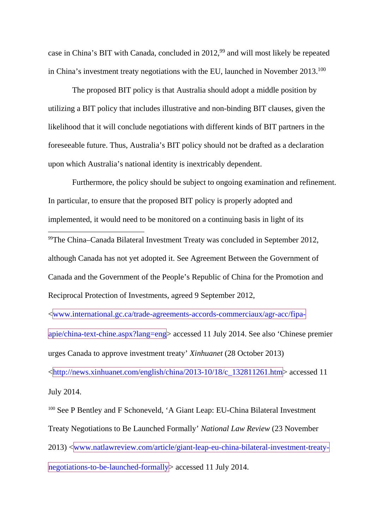case in China's BIT with Canada, concluded in 2012,<sup>99</sup> and will most likely be repeated in China's investment treaty negotiations with the EU, launched in November 2013.100

The proposed BIT policy is that Australia should adopt a middle position by utilizing a BIT policy that includes illustrative and non-binding BIT clauses, given the likelihood that it will conclude negotiations with different kinds of BIT partners in the foreseeable future. Thus, Australia's BIT policy should not be drafted as a declaration upon which Australia's national identity is inextricably dependent.

Furthermore, the policy should be subject to ongoing examination and refinement. In particular, to ensure that the proposed BIT policy is properly adopted and implemented, it would need to be monitored on a continuing basis in light of its

 99The China–Canada Bilateral Investment Treaty was concluded in September 2012, although Canada has not yet adopted it. See Agreement Between the Government of Canada and the Government of the People's Republic of China for the Promotion and Reciprocal Protection of Investments, agreed 9 September 2012,

<www.international.gc.ca/trade-agreements-accords-commerciaux/agr-acc/fipaapie/china-text-chine.aspx?lang=eng> accessed 11 July 2014. See also 'Chinese premier urges Canada to approve investment treaty' *Xinhuanet* (28 October 2013)  $\frac{\text{http://news.xinhuanet.com/english/china/2013-10/18/c}132811261.htm}{\text{http://news.xinhuanet.com/english/china/2013-10/18/c}132811261.htm}$  accessed 11 July 2014.

<sup>100</sup> See P Bentley and F Schoneveld, 'A Giant Leap: EU-China Bilateral Investment Treaty Negotiations to Be Launched Formally' *National Law Review* (23 November 2013) <www.natlawreview.com/article/giant-leap-eu-china-bilateral-investment-treatynegotiations-to-be-launched-formally> accessed 11 July 2014.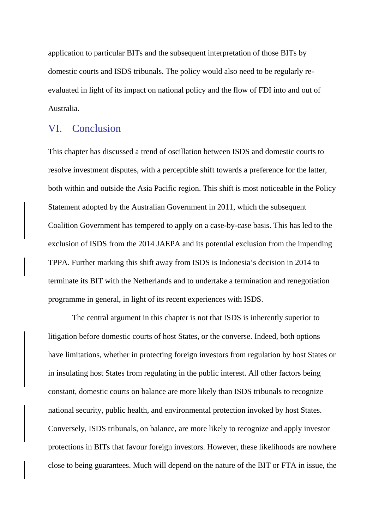application to particular BITs and the subsequent interpretation of those BITs by domestic courts and ISDS tribunals. The policy would also need to be regularly reevaluated in light of its impact on national policy and the flow of FDI into and out of Australia.

#### VI. Conclusion

This chapter has discussed a trend of oscillation between ISDS and domestic courts to resolve investment disputes, with a perceptible shift towards a preference for the latter, both within and outside the Asia Pacific region. This shift is most noticeable in the Policy Statement adopted by the Australian Government in 2011, which the subsequent Coalition Government has tempered to apply on a case-by-case basis. This has led to the exclusion of ISDS from the 2014 JAEPA and its potential exclusion from the impending TPPA. Further marking this shift away from ISDS is Indonesia's decision in 2014 to terminate its BIT with the Netherlands and to undertake a termination and renegotiation programme in general, in light of its recent experiences with ISDS.

The central argument in this chapter is not that ISDS is inherently superior to litigation before domestic courts of host States, or the converse. Indeed, both options have limitations, whether in protecting foreign investors from regulation by host States or in insulating host States from regulating in the public interest. All other factors being constant, domestic courts on balance are more likely than ISDS tribunals to recognize national security, public health, and environmental protection invoked by host States. Conversely, ISDS tribunals, on balance, are more likely to recognize and apply investor protections in BITs that favour foreign investors. However, these likelihoods are nowhere close to being guarantees. Much will depend on the nature of the BIT or FTA in issue, the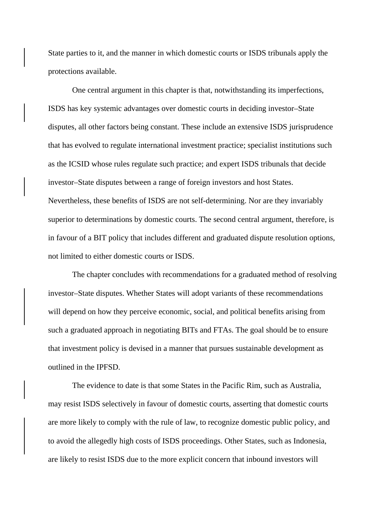State parties to it, and the manner in which domestic courts or ISDS tribunals apply the protections available.

One central argument in this chapter is that, notwithstanding its imperfections, ISDS has key systemic advantages over domestic courts in deciding investor–State disputes, all other factors being constant. These include an extensive ISDS jurisprudence that has evolved to regulate international investment practice; specialist institutions such as the ICSID whose rules regulate such practice; and expert ISDS tribunals that decide investor–State disputes between a range of foreign investors and host States. Nevertheless, these benefits of ISDS are not self-determining. Nor are they invariably superior to determinations by domestic courts. The second central argument, therefore, is in favour of a BIT policy that includes different and graduated dispute resolution options, not limited to either domestic courts or ISDS.

The chapter concludes with recommendations for a graduated method of resolving investor–State disputes. Whether States will adopt variants of these recommendations will depend on how they perceive economic, social, and political benefits arising from such a graduated approach in negotiating BITs and FTAs. The goal should be to ensure that investment policy is devised in a manner that pursues sustainable development as outlined in the IPFSD.

The evidence to date is that some States in the Pacific Rim, such as Australia, may resist ISDS selectively in favour of domestic courts, asserting that domestic courts are more likely to comply with the rule of law, to recognize domestic public policy, and to avoid the allegedly high costs of ISDS proceedings. Other States, such as Indonesia, are likely to resist ISDS due to the more explicit concern that inbound investors will